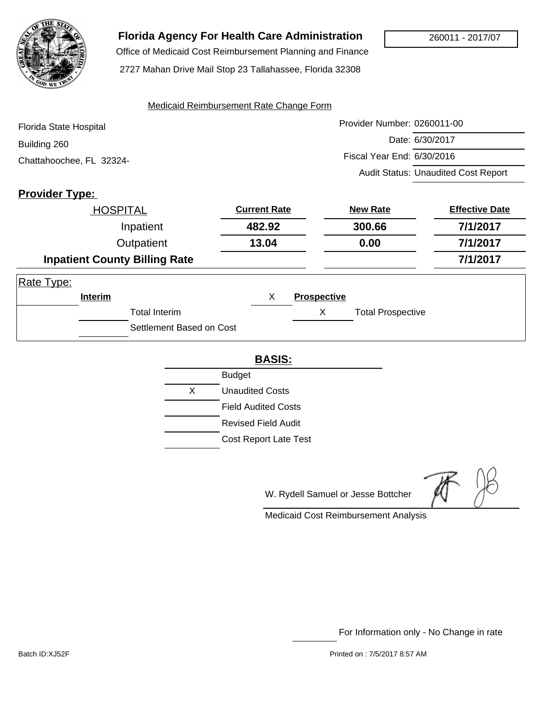

## **Florida Agency For Health Care Administration**

Office of Medicaid Cost Reimbursement Planning and Finance

2727 Mahan Drive Mail Stop 23 Tallahassee, Florida 32308

#### Medicaid Reimbursement Rate Change Form

| Florida State Hospital   | Provider Number: 0260011-00                |
|--------------------------|--------------------------------------------|
| Building 260             | Date: 6/30/2017                            |
| Chattahoochee, FL 32324- | Fiscal Year End: 6/30/2016                 |
|                          | <b>Audit Status: Unaudited Cost Report</b> |

## **Provider Type:**

| <b>HOSPITAL</b>                      | <b>Current Rate</b> | <b>New Rate</b>               | <b>Effective Date</b> |
|--------------------------------------|---------------------|-------------------------------|-----------------------|
| Inpatient                            | 482.92              | 300.66                        | 7/1/2017              |
| Outpatient                           | 13.04               | 0.00                          | 7/1/2017              |
| <b>Inpatient County Billing Rate</b> |                     |                               | 7/1/2017              |
| Rate Type:                           |                     |                               |                       |
| <b>Interim</b>                       | X                   | <b>Prospective</b>            |                       |
| <b>Total Interim</b>                 |                     | Х<br><b>Total Prospective</b> |                       |
| Settlement Based on Cost             |                     |                               |                       |

#### **BASIS:**

|   | <b>Budget</b>                |
|---|------------------------------|
| X | Unaudited Costs              |
|   | <b>Field Audited Costs</b>   |
|   | Revised Field Audit          |
|   | <b>Cost Report Late Test</b> |
|   |                              |

W. Rydell Samuel or Jesse Bottcher

Medicaid Cost Reimbursement Analysis

For Information only - No Change in rate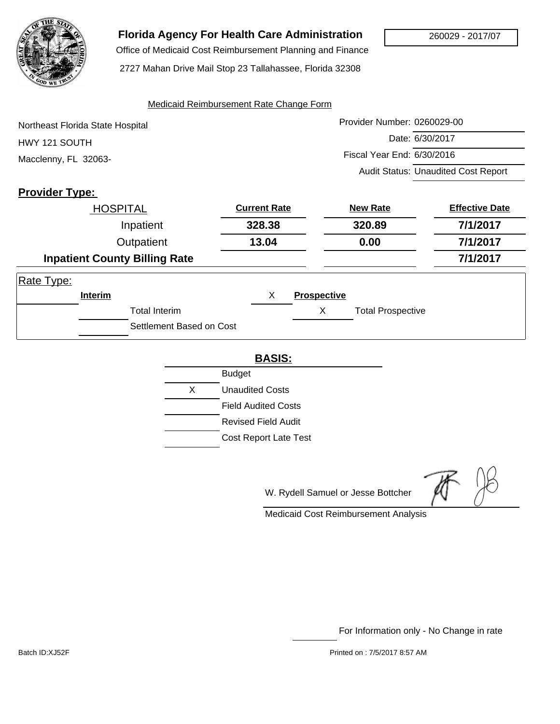

# **Florida Agency For Health Care Administration**

 Office of Medicaid Cost Reimbursement Planning and Finance 2727 Mahan Drive Mail Stop 23 Tallahassee, Florida 32308

#### Medicaid Reimbursement Rate Change Form

Provider Number: 0260029-00 Date: 6/30/2017 Fiscal Year End: 6/30/2016 Audit Status: Unaudited Cost Report Northeast Florida State Hospital HWY 121 SOUTH Macclenny, FL 32063-

## **Provider Type:**

|            | <b>HOSPITAL</b> |                                      | <b>Current Rate</b> |                    | <b>New Rate</b>          | <b>Effective Date</b> |
|------------|-----------------|--------------------------------------|---------------------|--------------------|--------------------------|-----------------------|
|            |                 | Inpatient                            | 328.38              |                    | 320.89                   | 7/1/2017              |
| Outpatient |                 | 13.04                                |                     | 0.00               | 7/1/2017                 |                       |
|            |                 | <b>Inpatient County Billing Rate</b> |                     |                    |                          | 7/1/2017              |
| Rate Type: |                 |                                      |                     |                    |                          |                       |
|            | Interim         |                                      | X                   | <b>Prospective</b> |                          |                       |
|            |                 | <b>Total Interim</b>                 |                     | X                  | <b>Total Prospective</b> |                       |
|            |                 | Settlement Based on Cost             |                     |                    |                          |                       |

#### **BASIS:**

|    | <b>Budget</b>              |
|----|----------------------------|
| X. | <b>Unaudited Costs</b>     |
|    | <b>Field Audited Costs</b> |
|    | Revised Field Audit        |
|    | Cost Report Late Test      |

W. Rydell Samuel or Jesse Bottcher

Medicaid Cost Reimbursement Analysis

For Information only - No Change in rate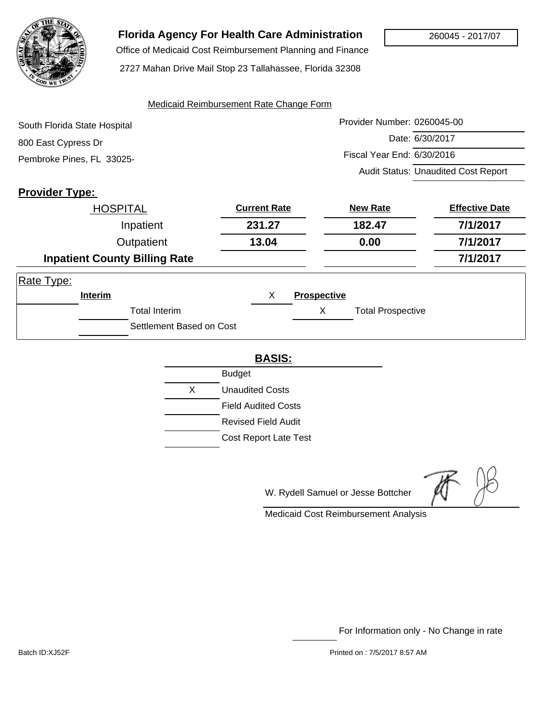

# **Florida Agency For Health Care Administration**

 Office of Medicaid Cost Reimbursement Planning and Finance 2727 Mahan Drive Mail Stop 23 Tallahassee, Florida 32308

#### Medicaid Reimbursement Rate Change Form

| South Florida State Hospital | Provider Number: 0260045-00                |
|------------------------------|--------------------------------------------|
| 800 East Cypress Dr          | Date: 6/30/2017                            |
| Pembroke Pines, FL 33025-    | Fiscal Year End: 6/30/2016                 |
|                              | <b>Audit Status: Unaudited Cost Report</b> |

### **Provider Type:**

|            | <b>HOSPITAL</b> |                                      | <b>Current Rate</b> |                    | <b>New Rate</b>          | <b>Effective Date</b> |
|------------|-----------------|--------------------------------------|---------------------|--------------------|--------------------------|-----------------------|
|            |                 | Inpatient                            | 231.27              |                    | 182.47                   | 7/1/2017              |
|            | Outpatient      |                                      | 13.04               | 0.00               |                          | 7/1/2017              |
|            |                 | <b>Inpatient County Billing Rate</b> |                     |                    |                          | 7/1/2017              |
| Rate Type: |                 |                                      |                     |                    |                          |                       |
|            | Interim         |                                      | X                   | <b>Prospective</b> |                          |                       |
|            |                 | <b>Total Interim</b>                 |                     | X                  | <b>Total Prospective</b> |                       |
|            |                 | Settlement Based on Cost             |                     |                    |                          |                       |

### **BASIS:**

|    | <b>Budget</b>              |
|----|----------------------------|
| X. | <b>Unaudited Costs</b>     |
|    | <b>Field Audited Costs</b> |
|    | Revised Field Audit        |
|    | Cost Report Late Test      |

W. Rydell Samuel or Jesse Bottcher

Medicaid Cost Reimbursement Analysis

For Information only - No Change in rate